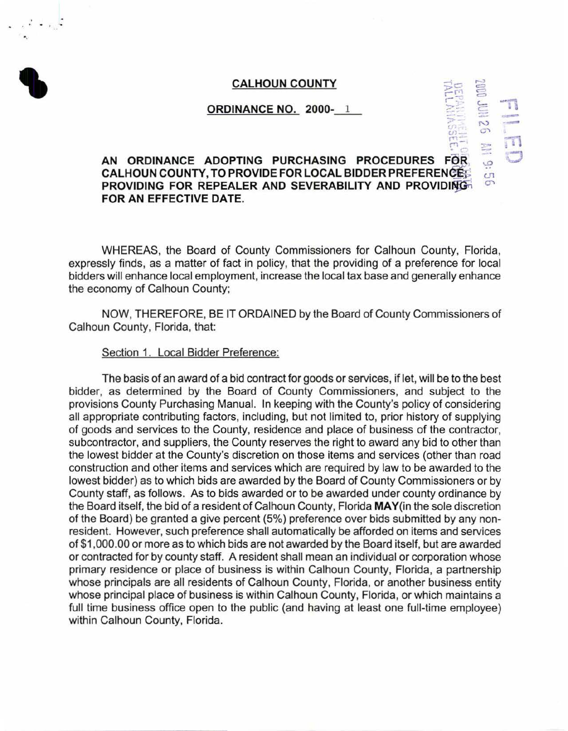$\circ$  $\overline{=}$ 

> N  $\circ$ ~  $\overline{\mathcal{Q}}$  $C<sub>1</sub>$  $\sigma$

-:->-  $\alpha$ *c.n-* $\mathbb{R}$ -

 $=$   $\frac{1}{2}$ 

 $\frac{1}{2}$ -- m *.C)* 

# ' **CALHOUN COUNTY** ,\_, **ORDINANCE NO. 2000-** 1

# • *c-***AN ORDINANCE ADOPTING PURCHASING PROCEDURES FeR CALHOUN COUNTY, TO PROVIDE FOR LOCAL BIDDER PREFERENCE; PROVIDING FOR REPEALER AND SEVERABILITY AND PROVIDING FOR AN EFFECTIVE DATE.**

WHEREAS, the Board of County Commissioners for Calhoun County, Florida, expressly finds, as a matter of fact in policy, that the providing of a preference for local bidders will enhance local employment, increase the local tax base and generally enhance the economy of Calhoun County;

NOW, THEREFORE, BE IT ORDAINED by the Board of County Commissioners of Calhoun County, Florida, that:

# Section 1. Local Bidder Preference:

•.

The basis of an award of a bid contract for goods or services, if let, will be to the best bidder, as determined by the Board of County Commissioners, and subject to the provisions County Purchasing Manual. In keeping with the County's policy of considering all appropriate contributing factors, including, but not limited to, prior history of supplying of goods and services to the County, residence and place of business of the contractor, subcontractor, and suppliers, the County reserves the right to award any bid to other than the lowest bidder at the County's discretion on those items and services (other than road construction and other items and services which are required by law to be awarded to the lowest bidder) as to which bids are awarded by the Board of County Commissioners or by County staff, as follows. As to bids awarded or to be awarded under county ordinance by the Board itself, the bid of a resident of Calhoun County, Florida **MAY(in** the sole discretion of the Board) be granted a give percent (5%) preference over bids submitted by any nonresident. However, such preference shall automatically be afforded on items and services of \$1 ,000.00 or more as to which bids are not awarded by the Board itself, but are awarded or contracted for by county staff. A resident shall mean an individual or corporation whose primary residence or place of business is within Calhoun County, Florida, a partnership whose principals are all residents of Calhoun County, Florida, or another business entity whose principal place of business is within Calhoun County, Florida, or which maintains a full time business office open to the public (and having at least one full-time employee) within Calhoun County, Florida.